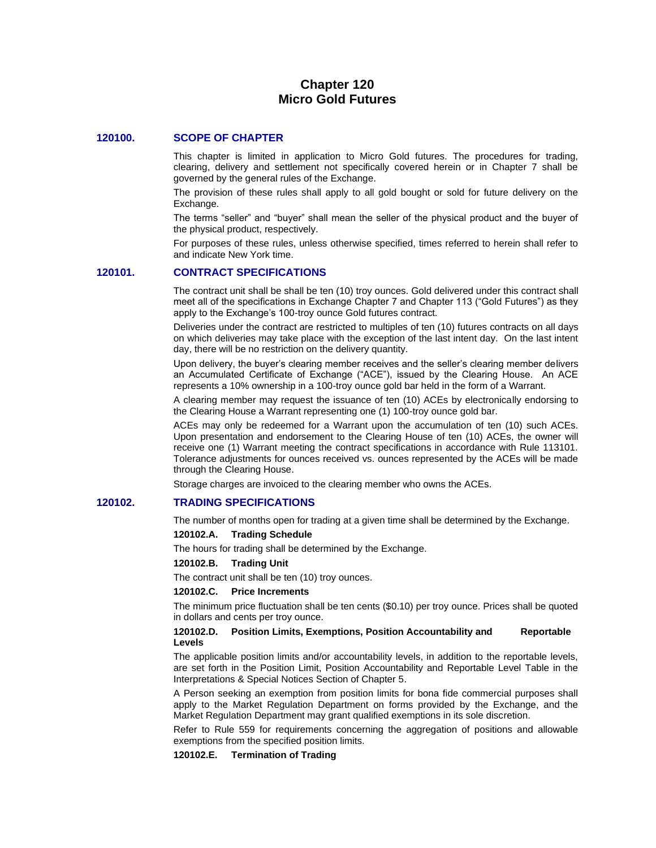# **Chapter 120 Micro Gold Futures**

#### **120100. SCOPE OF CHAPTER**

This chapter is limited in application to Micro Gold futures. The procedures for trading, clearing, delivery and settlement not specifically covered herein or in Chapter 7 shall be governed by the general rules of the Exchange.

The provision of these rules shall apply to all gold bought or sold for future delivery on the Exchange.

The terms "seller" and "buyer" shall mean the seller of the physical product and the buyer of the physical product, respectively.

For purposes of these rules, unless otherwise specified, times referred to herein shall refer to and indicate New York time.

#### **120101. CONTRACT SPECIFICATIONS**

The contract unit shall be shall be ten (10) troy ounces. Gold delivered under this contract shall meet all of the specifications in Exchange Chapter 7 and Chapter 113 ("Gold Futures") as they apply to the Exchange's 100-troy ounce Gold futures contract.

Deliveries under the contract are restricted to multiples of ten (10) futures contracts on all days on which deliveries may take place with the exception of the last intent day. On the last intent day, there will be no restriction on the delivery quantity.

Upon delivery, the buyer's clearing member receives and the seller's clearing member delivers an Accumulated Certificate of Exchange ("ACE"), issued by the Clearing House. An ACE represents a 10% ownership in a 100-troy ounce gold bar held in the form of a Warrant.

A clearing member may request the issuance of ten (10) ACEs by electronically endorsing to the Clearing House a Warrant representing one (1) 100-troy ounce gold bar.

ACEs may only be redeemed for a Warrant upon the accumulation of ten (10) such ACEs. Upon presentation and endorsement to the Clearing House of ten (10) ACEs, the owner will receive one (1) Warrant meeting the contract specifications in accordance with Rule 113101. Tolerance adjustments for ounces received vs. ounces represented by the ACEs will be made through the Clearing House.

Storage charges are invoiced to the clearing member who owns the ACEs.

### **120102. TRADING SPECIFICATIONS**

The number of months open for trading at a given time shall be determined by the Exchange.

#### **120102.A. Trading Schedule**

The hours for trading shall be determined by the Exchange.

#### **120102.B. Trading Unit**

The contract unit shall be ten (10) troy ounces.

#### **120102.C. Price Increments**

The minimum price fluctuation shall be ten cents (\$0.10) per troy ounce. Prices shall be quoted in dollars and cents per troy ounce.

#### **120102.D. Position Limits, Exemptions, Position Accountability and Reportable Levels**

The applicable position limits and/or accountability levels, in addition to the reportable levels, are set forth in the Position Limit, Position Accountability and Reportable Level Table in the Interpretations & Special Notices Section of Chapter 5.

A Person seeking an exemption from position limits for bona fide commercial purposes shall apply to the Market Regulation Department on forms provided by the Exchange, and the Market Regulation Department may grant qualified exemptions in its sole discretion.

Refer to Rule 559 for requirements concerning the aggregation of positions and allowable exemptions from the specified position limits.

#### **120102.E. Termination of Trading**